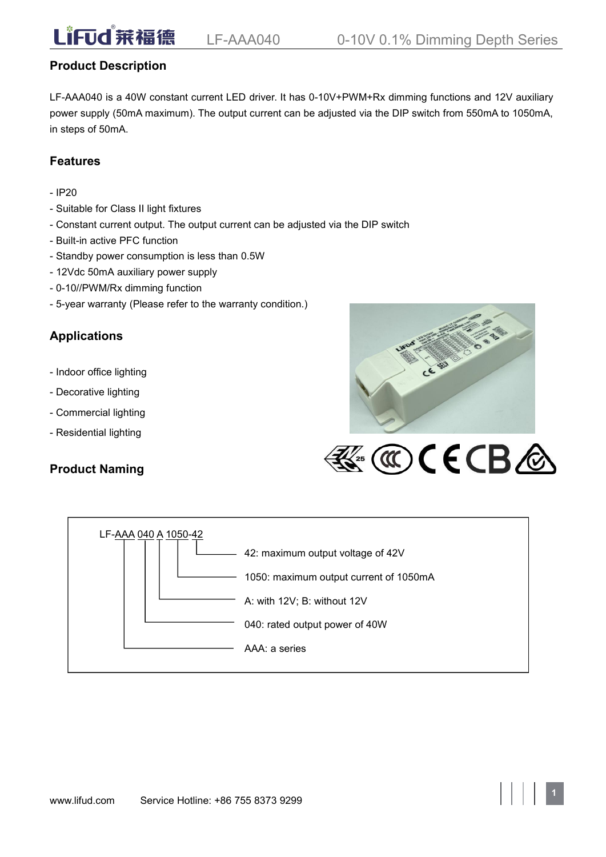# **Product Description**

LF-AAA040 is a 40W constant current LED driver. It has 0-10V+PWM+Rx dimming functions and 12V auxiliary power supply (50mA maximum). The output current can be adjusted via the DIP switch from 550mA to 1050mA, in steps of 50mA.

# **Features**

- IP20
- Suitable for Class II light fixtures
- Constant current output. The output current can be adjusted via the DIP switch
- Built-in active PFC function
- Standby power consumption is less than 0.5W
- 12Vdc 50mA auxiliary power supply
- 0-10//PWM/Rx dimming function
- 5-year warranty (Please refer to the warranty condition.)

# **Applications**

- Indoor office lighting
- Decorative lighting
- Commercial lighting
- Residential lighting

# **Product Naming**





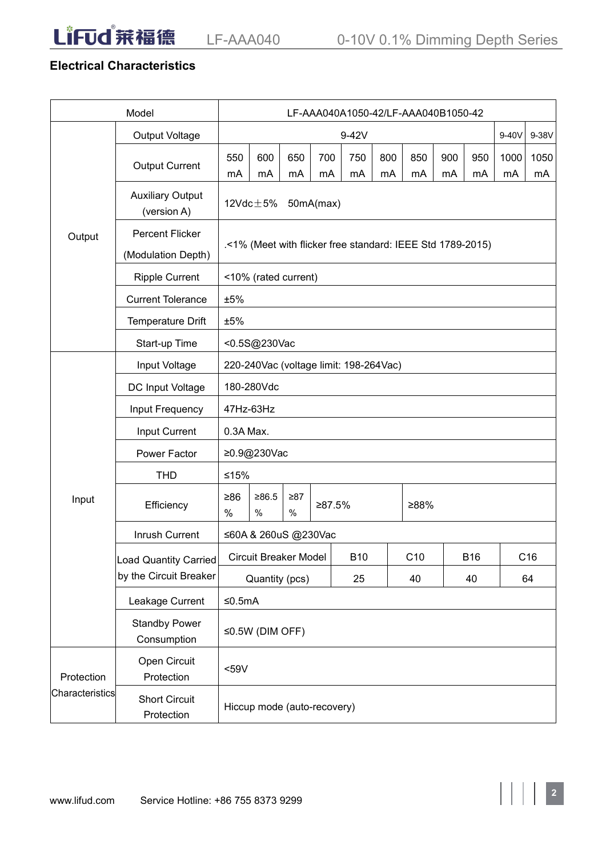LiFud 莱福德

# **Electrical Characteristics**

| Model           |                                        | LF-AAA040A1050-42/LF-AAA040B1050-42    |                                                            |           |           |            |           |           |           |            |            |                 |
|-----------------|----------------------------------------|----------------------------------------|------------------------------------------------------------|-----------|-----------|------------|-----------|-----------|-----------|------------|------------|-----------------|
|                 | Output Voltage                         | 9-42V                                  |                                                            |           |           |            |           |           |           | $9-40V$    | 9-38V      |                 |
|                 | <b>Output Current</b>                  | 550<br>mA                              | 600<br>mA                                                  | 650<br>mA | 700<br>mA | 750<br>mA  | 800<br>mA | 850<br>mA | 900<br>mA | 950<br>mA  | 1000<br>mA | 1050<br>mA      |
|                 | <b>Auxiliary Output</b><br>(version A) |                                        | 12 $\textsf{Vdc}\!\pm\!5\%$                                |           | 50mA(max) |            |           |           |           |            |            |                 |
| Output          | Percent Flicker<br>(Modulation Depth)  |                                        | .<1% (Meet with flicker free standard: IEEE Std 1789-2015) |           |           |            |           |           |           |            |            |                 |
|                 | <b>Ripple Current</b>                  |                                        | <10% (rated current)                                       |           |           |            |           |           |           |            |            |                 |
|                 | <b>Current Tolerance</b>               | ±5%                                    |                                                            |           |           |            |           |           |           |            |            |                 |
|                 | Temperature Drift                      | ±5%                                    |                                                            |           |           |            |           |           |           |            |            |                 |
|                 | Start-up Time                          |                                        | <0.5S@230Vac                                               |           |           |            |           |           |           |            |            |                 |
|                 | Input Voltage                          | 220-240Vac (voltage limit: 198-264Vac) |                                                            |           |           |            |           |           |           |            |            |                 |
|                 | DC Input Voltage                       | 180-280Vdc                             |                                                            |           |           |            |           |           |           |            |            |                 |
|                 | Input Frequency                        | 47Hz-63Hz                              |                                                            |           |           |            |           |           |           |            |            |                 |
|                 | Input Current                          | 0.3A Max.                              |                                                            |           |           |            |           |           |           |            |            |                 |
|                 | Power Factor                           | ≥0.9@230Vac                            |                                                            |           |           |            |           |           |           |            |            |                 |
|                 | <b>THD</b>                             | $≤15%$                                 |                                                            |           |           |            |           |           |           |            |            |                 |
| Input           | Efficiency                             | $\geq 86$<br>$\%$                      | $\geq 86.5$<br>$\geq 87$<br>≥87.5%<br>≥88%<br>$\%$<br>$\%$ |           |           |            |           |           |           |            |            |                 |
|                 | Inrush Current                         | ≤60A & 260uS @230Vac                   |                                                            |           |           |            |           |           |           |            |            |                 |
|                 | Load Quantity Carried                  |                                        | <b>Circuit Breaker Model</b>                               |           |           | <b>B10</b> |           | C10       |           | <b>B16</b> |            | C <sub>16</sub> |
|                 | by the Circuit Breaker                 |                                        | Quantity (pcs)                                             |           |           | 25         |           | 40        |           | 40         |            | 64              |
|                 | Leakage Current                        | $≤0.5mA$                               |                                                            |           |           |            |           |           |           |            |            |                 |
|                 | <b>Standby Power</b><br>Consumption    | $\leq 0.5W$ (DIM OFF)                  |                                                            |           |           |            |           |           |           |            |            |                 |
| Protection      | Open Circuit<br>Protection             | $59V$                                  |                                                            |           |           |            |           |           |           |            |            |                 |
| Characteristics | <b>Short Circuit</b><br>Protection     | Hiccup mode (auto-recovery)            |                                                            |           |           |            |           |           |           |            |            |                 |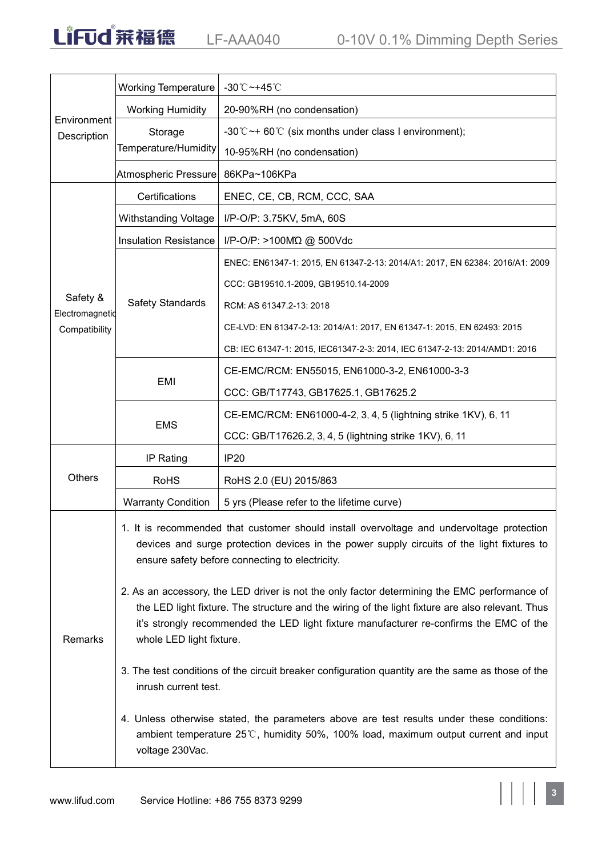|                             | <b>Working Temperature</b>                                                                                                                                                                                                                                                                                              | -30℃~+45℃                                                                                                                                                                                                                                  |  |  |  |  |  |  |  |
|-----------------------------|-------------------------------------------------------------------------------------------------------------------------------------------------------------------------------------------------------------------------------------------------------------------------------------------------------------------------|--------------------------------------------------------------------------------------------------------------------------------------------------------------------------------------------------------------------------------------------|--|--|--|--|--|--|--|
| Environment<br>Description  | <b>Working Humidity</b>                                                                                                                                                                                                                                                                                                 | 20-90%RH (no condensation)                                                                                                                                                                                                                 |  |  |  |  |  |  |  |
|                             | Storage                                                                                                                                                                                                                                                                                                                 | -30°C $\sim$ + 60°C (six months under class I environment);                                                                                                                                                                                |  |  |  |  |  |  |  |
|                             | Temperature/Humidity                                                                                                                                                                                                                                                                                                    | 10-95%RH (no condensation)                                                                                                                                                                                                                 |  |  |  |  |  |  |  |
|                             | Atmospheric Pressure                                                                                                                                                                                                                                                                                                    | 86KPa~106KPa                                                                                                                                                                                                                               |  |  |  |  |  |  |  |
|                             | Certifications                                                                                                                                                                                                                                                                                                          | ENEC, CE, CB, RCM, CCC, SAA                                                                                                                                                                                                                |  |  |  |  |  |  |  |
|                             | Withstanding Voltage                                                                                                                                                                                                                                                                                                    | I/P-O/P: 3.75KV, 5mA, 60S                                                                                                                                                                                                                  |  |  |  |  |  |  |  |
|                             | <b>Insulation Resistance</b>                                                                                                                                                                                                                                                                                            | I/P-O/P: >100ΜΩ @ 500Vdc                                                                                                                                                                                                                   |  |  |  |  |  |  |  |
|                             |                                                                                                                                                                                                                                                                                                                         | ENEC: EN61347-1: 2015, EN 61347-2-13: 2014/A1: 2017, EN 62384: 2016/A1: 2009                                                                                                                                                               |  |  |  |  |  |  |  |
|                             |                                                                                                                                                                                                                                                                                                                         | CCC: GB19510.1-2009, GB19510.14-2009                                                                                                                                                                                                       |  |  |  |  |  |  |  |
| Safety &<br>Electromagnetid | <b>Safety Standards</b>                                                                                                                                                                                                                                                                                                 | RCM: AS 61347.2-13: 2018                                                                                                                                                                                                                   |  |  |  |  |  |  |  |
| Compatibility               |                                                                                                                                                                                                                                                                                                                         | CE-LVD: EN 61347-2-13: 2014/A1: 2017, EN 61347-1: 2015, EN 62493: 2015                                                                                                                                                                     |  |  |  |  |  |  |  |
|                             |                                                                                                                                                                                                                                                                                                                         | CB: IEC 61347-1: 2015, IEC61347-2-3: 2014, IEC 61347-2-13: 2014/AMD1: 2016                                                                                                                                                                 |  |  |  |  |  |  |  |
|                             | EMI                                                                                                                                                                                                                                                                                                                     | CE-EMC/RCM: EN55015, EN61000-3-2, EN61000-3-3                                                                                                                                                                                              |  |  |  |  |  |  |  |
|                             |                                                                                                                                                                                                                                                                                                                         | CCC: GB/T17743, GB17625.1, GB17625.2                                                                                                                                                                                                       |  |  |  |  |  |  |  |
|                             | <b>EMS</b>                                                                                                                                                                                                                                                                                                              | CE-EMC/RCM: EN61000-4-2, 3, 4, 5 (lightning strike 1KV), 6, 11                                                                                                                                                                             |  |  |  |  |  |  |  |
|                             |                                                                                                                                                                                                                                                                                                                         | CCC: GB/T17626.2, 3, 4, 5 (lightning strike 1KV), 6, 11                                                                                                                                                                                    |  |  |  |  |  |  |  |
|                             | IP Rating                                                                                                                                                                                                                                                                                                               | <b>IP20</b>                                                                                                                                                                                                                                |  |  |  |  |  |  |  |
| Others                      | <b>RoHS</b>                                                                                                                                                                                                                                                                                                             | RoHS 2.0 (EU) 2015/863                                                                                                                                                                                                                     |  |  |  |  |  |  |  |
|                             | <b>Warranty Condition</b>                                                                                                                                                                                                                                                                                               | 5 yrs (Please refer to the lifetime curve)                                                                                                                                                                                                 |  |  |  |  |  |  |  |
|                             |                                                                                                                                                                                                                                                                                                                         | 1. It is recommended that customer should install overvoltage and undervoltage protection<br>devices and surge protection devices in the power supply circuits of the light fixtures to<br>ensure safety before connecting to electricity. |  |  |  |  |  |  |  |
| Remarks                     | 2. As an accessory, the LED driver is not the only factor determining the EMC performance of<br>the LED light fixture. The structure and the wiring of the light fixture are also relevant. Thus<br>it's strongly recommended the LED light fixture manufacturer re-confirms the EMC of the<br>whole LED light fixture. |                                                                                                                                                                                                                                            |  |  |  |  |  |  |  |
|                             | 3. The test conditions of the circuit breaker configuration quantity are the same as those of the<br>inrush current test.                                                                                                                                                                                               |                                                                                                                                                                                                                                            |  |  |  |  |  |  |  |
|                             | voltage 230Vac.                                                                                                                                                                                                                                                                                                         | 4. Unless otherwise stated, the parameters above are test results under these conditions:<br>ambient temperature 25℃, humidity 50%, 100% load, maximum output current and input                                                            |  |  |  |  |  |  |  |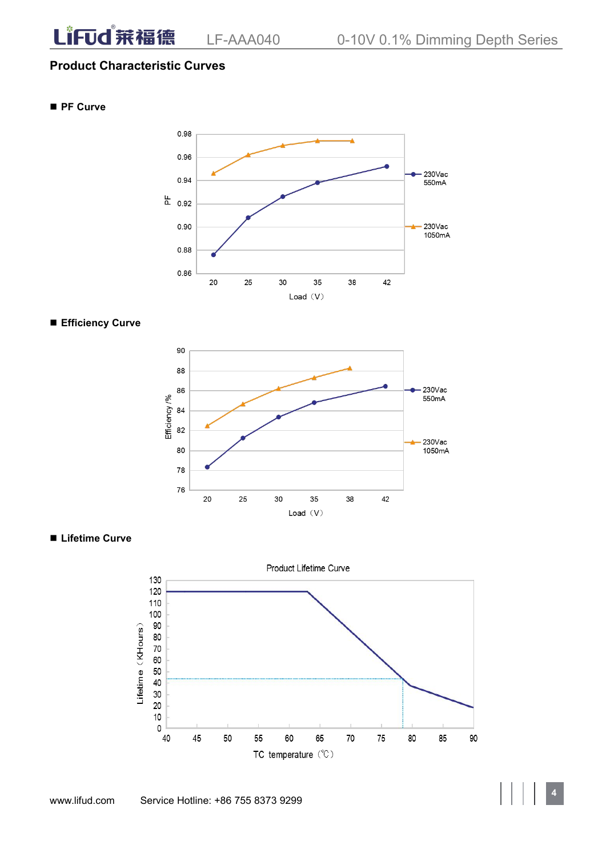### **Product Characteristic Curves**

**PF Curve**



#### **Efficiency Curve**



**Lifetime Curve**

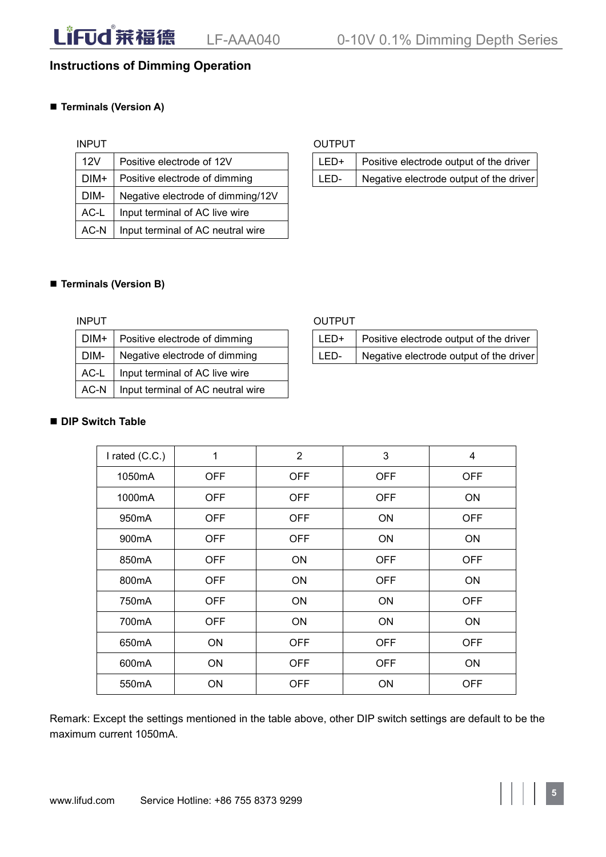# **Instructions of Dimming Operation**

### **Terminals (Version A)**

| 12V  | Positive electrode of 12V         | LED+ | Positive e |
|------|-----------------------------------|------|------------|
| DIM+ | Positive electrode of dimming     | LED- | Negative   |
| DIM- | Negative electrode of dimming/12V |      |            |
| AC-L | Input terminal of AC live wire    |      |            |
| AC-N | Input terminal of AC neutral wire |      |            |

#### INPUT OUTPUT

| <b>DIM+</b><br>Positive electrode of dimming<br>Negative electrode output of the driver | 12V | Positive electrode of 12V |  | Positive electrode output of the driver |
|-----------------------------------------------------------------------------------------|-----|---------------------------|--|-----------------------------------------|
|                                                                                         |     |                           |  |                                         |

#### **Terminals (Version B)**

| DIM+ | Positive electrode of dimming     | LED+ | Pι |
|------|-----------------------------------|------|----|
| DIM- | Negative electrode of dimming     | LED- | Nθ |
| AC-L | Input terminal of AC live wire    |      |    |
| AC-N | Input terminal of AC neutral wire |      |    |

#### INPUT **OUTPUT**

| DIM+ | Positive electrode of dimming |  | Positive electrode output of the driver |
|------|-------------------------------|--|-----------------------------------------|
| DIM  | Negative electrode of dimming |  | Negative electrode output of the driver |

### **DIP Switch Table**

| I rated (C.C.)     | $\mathbf{1}$ | $\overline{2}$ | $\mathfrak{B}$ | $\overline{4}$ |
|--------------------|--------------|----------------|----------------|----------------|
| 1050mA             | <b>OFF</b>   | <b>OFF</b>     | <b>OFF</b>     | <b>OFF</b>     |
| 1000mA             | <b>OFF</b>   | <b>OFF</b>     | <b>OFF</b>     | ON             |
| 950 <sub>m</sub> A | <b>OFF</b>   | <b>OFF</b>     | ON             | <b>OFF</b>     |
| 900 <sub>m</sub> A | <b>OFF</b>   | <b>OFF</b>     | ON             | ON             |
| 850mA              | <b>OFF</b>   | ON             | <b>OFF</b>     | <b>OFF</b>     |
| 800mA              | <b>OFF</b>   | ON             | <b>OFF</b>     | ON             |
| 750mA              | <b>OFF</b>   | ON             | ON             | <b>OFF</b>     |
| 700mA              | <b>OFF</b>   | ON             | ON             | ON             |
| 650 <sub>m</sub> A | ON           | <b>OFF</b>     | <b>OFF</b>     | <b>OFF</b>     |
| 600mA              | ON           | <b>OFF</b>     | <b>OFF</b>     | ON             |
| 550mA              | ON           | <b>OFF</b>     | ON             | <b>OFF</b>     |

Remark: Except the settings mentioned in the table above, other DIP switch settings are default to be the maximum current 1050mA.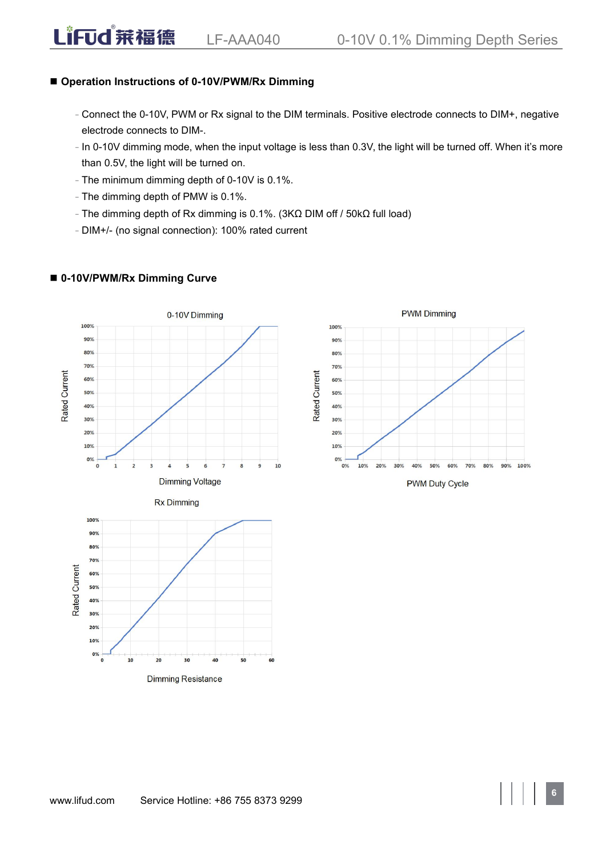# **Operation Instructions of 0-10V/PWM/Rx Dimming**

- Connect the 0-10V, PWM or Rx signal to the DIM terminals. Positive electrode connects to DIM+, negative electrode connects to DIM-.
- In 0-10V dimming mode, when the input voltage is less than 0.3V, the light will be turned off. When it's more than 0.5V, the light will be turned on.
- The minimum dimming depth of 0-10V is 0.1%.
- The dimming depth of PMW is 0.1%.
- The dimming depth of Rx dimming is 0.1%. (3KΩ DIM off / 50kΩ full load)
- DIM+/- (no signal connection): 100% rated current



#### **0-10V/PWM/Rx Dimming Curve**

LiFud 莱福德

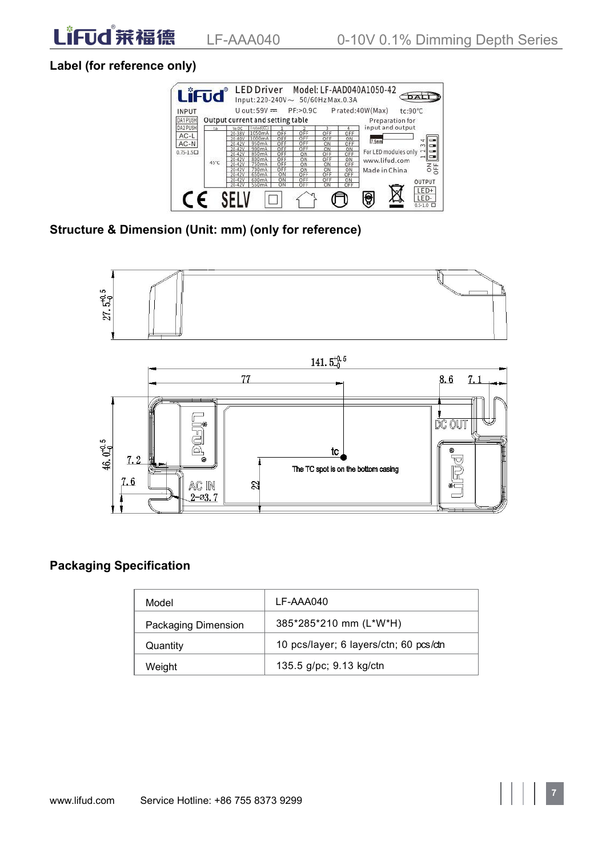# **Label (for reference only)**



**Structure & Dimension (Unit: mm)(only for reference)**



# **Packaging Specification**

| Model               | LF-AAA040                              |
|---------------------|----------------------------------------|
| Packaging Dimension | 385*285*210 mm (L*W*H)                 |
| Quantity            | 10 pcs/layer; 6 layers/ctn; 60 pcs/ctn |
| Weight              | 135.5 g/pc; 9.13 kg/ctn                |